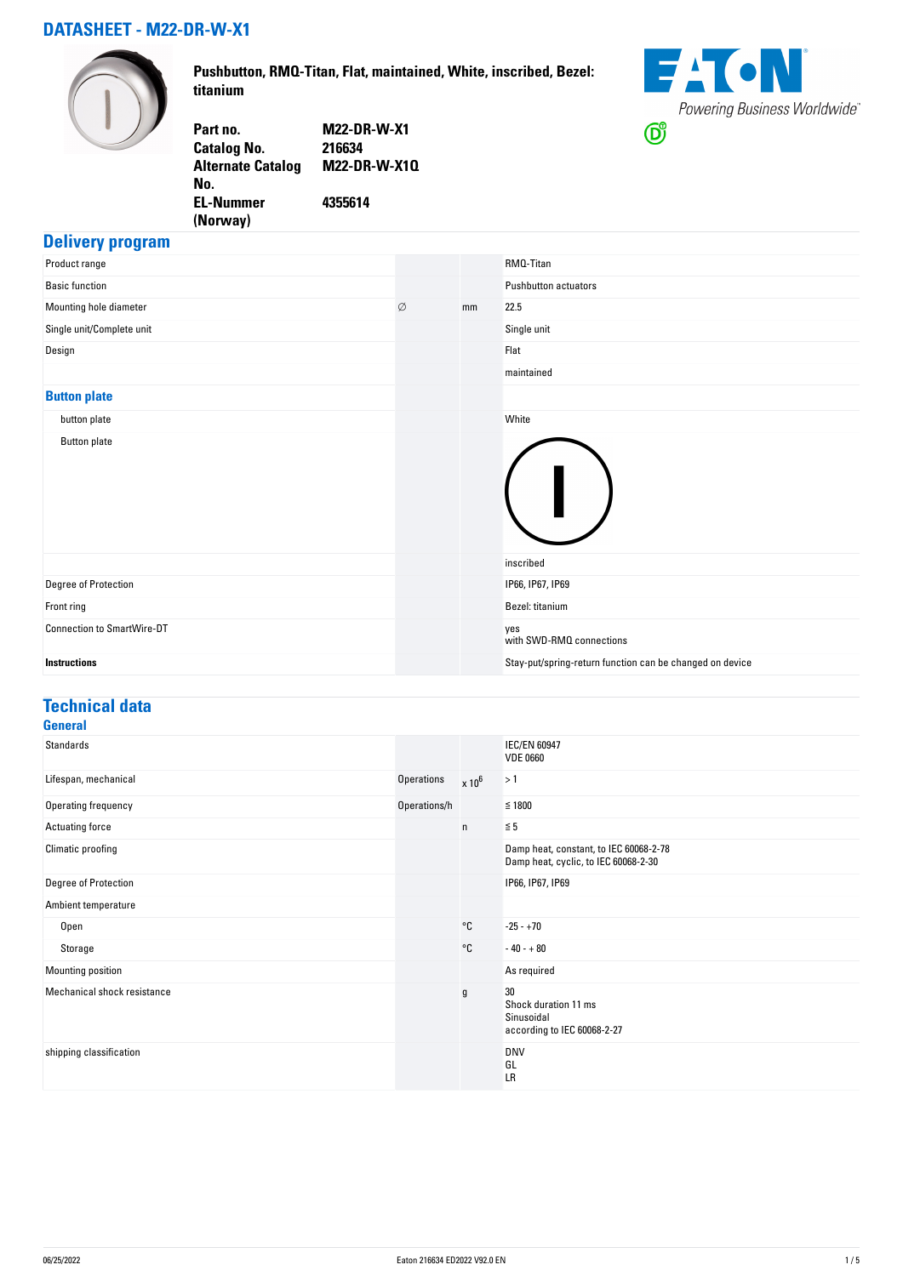## **DATASHEET - M22-DR-W-X1**



**Pushbutton, RMQ-Titan, Flat, maintained, White, inscribed, Bezel: titanium**



**Part no. M22-DR-W-X1 Catalog No. Alternate Catalog No. M22-DR-W-X1Q EL-Nummer (Norway) 4355614**

### **Delivery program**

| Product range                     |   |    | RMQ-Titan                                                |
|-----------------------------------|---|----|----------------------------------------------------------|
| <b>Basic function</b>             |   |    | <b>Pushbutton actuators</b>                              |
| Mounting hole diameter            | Ø | mm | 22.5                                                     |
| Single unit/Complete unit         |   |    | Single unit                                              |
| Design                            |   |    | Flat                                                     |
|                                   |   |    | maintained                                               |
| <b>Button plate</b>               |   |    |                                                          |
| button plate                      |   |    | White                                                    |
| <b>Button plate</b>               |   |    |                                                          |
|                                   |   |    | inscribed                                                |
| Degree of Protection              |   |    | IP66, IP67, IP69                                         |
| Front ring                        |   |    | Bezel: titanium                                          |
| <b>Connection to SmartWire-DT</b> |   |    | yes<br>with SWD-RMQ connections                          |
| <b>Instructions</b>               |   |    | Stay-put/spring-return function can be changed on device |

#### **Technical data General**

| uvuviui                     |                   |               |                                                                                |
|-----------------------------|-------------------|---------------|--------------------------------------------------------------------------------|
| <b>Standards</b>            |                   |               | <b>IEC/EN 60947</b><br><b>VDE 0660</b>                                         |
| Lifespan, mechanical        | <b>Operations</b> | $\times 10^6$ | >1                                                                             |
| Operating frequency         | Operations/h      |               | $≤ 1800$                                                                       |
| Actuating force             |                   | $\mathsf{n}$  | $\leq 5$                                                                       |
| Climatic proofing           |                   |               | Damp heat, constant, to IEC 60068-2-78<br>Damp heat, cyclic, to IEC 60068-2-30 |
| Degree of Protection        |                   |               | IP66, IP67, IP69                                                               |
| Ambient temperature         |                   |               |                                                                                |
| Open                        |                   | °C            | $-25 - +70$                                                                    |
| Storage                     |                   | °C            | $-40 - +80$                                                                    |
| Mounting position           |                   |               | As required                                                                    |
| Mechanical shock resistance |                   | $\mathsf g$   | 30<br>Shock duration 11 ms<br>Sinusoidal<br>according to IEC 60068-2-27        |
| shipping classification     |                   |               | <b>DNV</b><br>GL<br>LR                                                         |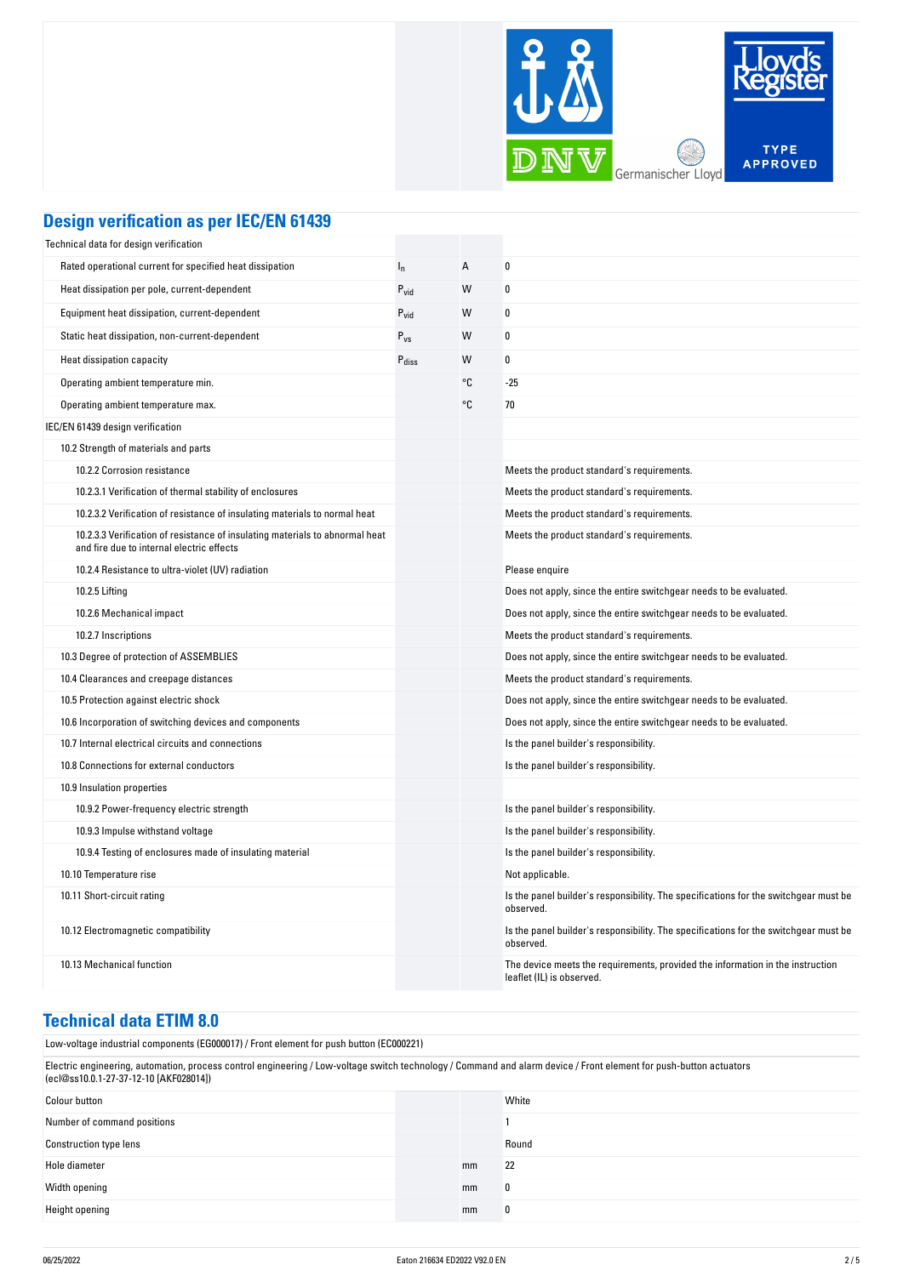

# **Design verification as per IEC/EN 61439**

| Technical data for design verification                                                                                    |                   |    |                                                                                                             |
|---------------------------------------------------------------------------------------------------------------------------|-------------------|----|-------------------------------------------------------------------------------------------------------------|
| Rated operational current for specified heat dissipation                                                                  | $I_n$             | A  | 0                                                                                                           |
| Heat dissipation per pole, current-dependent                                                                              | $P_{\text{vid}}$  | W  | 0                                                                                                           |
| Equipment heat dissipation, current-dependent                                                                             | $P_{vid}$         | W  | $\boldsymbol{0}$                                                                                            |
| Static heat dissipation, non-current-dependent                                                                            | $P_{VS}$          | W  | 0                                                                                                           |
| Heat dissipation capacity                                                                                                 | $P_{\text{diss}}$ | W  | 0                                                                                                           |
| Operating ambient temperature min.                                                                                        |                   | °C | $-25$                                                                                                       |
| Operating ambient temperature max.                                                                                        |                   | °C | 70                                                                                                          |
| IEC/EN 61439 design verification                                                                                          |                   |    |                                                                                                             |
| 10.2 Strength of materials and parts                                                                                      |                   |    |                                                                                                             |
| 10.2.2 Corrosion resistance                                                                                               |                   |    | Meets the product standard's requirements.                                                                  |
| 10.2.3.1 Verification of thermal stability of enclosures                                                                  |                   |    | Meets the product standard's requirements.                                                                  |
| 10.2.3.2 Verification of resistance of insulating materials to normal heat                                                |                   |    | Meets the product standard's requirements.                                                                  |
| 10.2.3.3 Verification of resistance of insulating materials to abnormal heat<br>and fire due to internal electric effects |                   |    | Meets the product standard's requirements.                                                                  |
| 10.2.4 Resistance to ultra-violet (UV) radiation                                                                          |                   |    | Please enquire                                                                                              |
| 10.2.5 Lifting                                                                                                            |                   |    | Does not apply, since the entire switchgear needs to be evaluated.                                          |
| 10.2.6 Mechanical impact                                                                                                  |                   |    | Does not apply, since the entire switchgear needs to be evaluated.                                          |
| 10.2.7 Inscriptions                                                                                                       |                   |    | Meets the product standard's requirements.                                                                  |
| 10.3 Degree of protection of ASSEMBLIES                                                                                   |                   |    | Does not apply, since the entire switchgear needs to be evaluated.                                          |
| 10.4 Clearances and creepage distances                                                                                    |                   |    | Meets the product standard's requirements.                                                                  |
| 10.5 Protection against electric shock                                                                                    |                   |    | Does not apply, since the entire switchgear needs to be evaluated.                                          |
| 10.6 Incorporation of switching devices and components                                                                    |                   |    | Does not apply, since the entire switchgear needs to be evaluated.                                          |
| 10.7 Internal electrical circuits and connections                                                                         |                   |    | Is the panel builder's responsibility.                                                                      |
| 10.8 Connections for external conductors                                                                                  |                   |    | Is the panel builder's responsibility.                                                                      |
| 10.9 Insulation properties                                                                                                |                   |    |                                                                                                             |
| 10.9.2 Power-frequency electric strength                                                                                  |                   |    | Is the panel builder's responsibility.                                                                      |
| 10.9.3 Impulse withstand voltage                                                                                          |                   |    | Is the panel builder's responsibility.                                                                      |
| 10.9.4 Testing of enclosures made of insulating material                                                                  |                   |    | Is the panel builder's responsibility.                                                                      |
| 10.10 Temperature rise                                                                                                    |                   |    | Not applicable.                                                                                             |
| 10.11 Short-circuit rating                                                                                                |                   |    | Is the panel builder's responsibility. The specifications for the switchgear must be<br>observed.           |
| 10.12 Electromagnetic compatibility                                                                                       |                   |    | Is the panel builder's responsibility. The specifications for the switchgear must be<br>observed.           |
| 10.13 Mechanical function                                                                                                 |                   |    | The device meets the requirements, provided the information in the instruction<br>leaflet (IL) is observed. |

## **Technical data ETIM 8.0**

Low-voltage industrial components (EG000017) / Front element for push button (EC000221)

Electric engineering, automation, process control engineering / Low-voltage switch technology / Command and alarm device / Front element for push-button actuators (ecl@ss10.0.1-27-37-12-10 [AKF028014])

| Colour button                 |    | White |
|-------------------------------|----|-------|
| Number of command positions   |    |       |
| <b>Construction type lens</b> |    | Round |
| Hole diameter                 | mm | 22    |
| Width opening                 | mm | 0     |
| <b>Height opening</b>         | mm | 0     |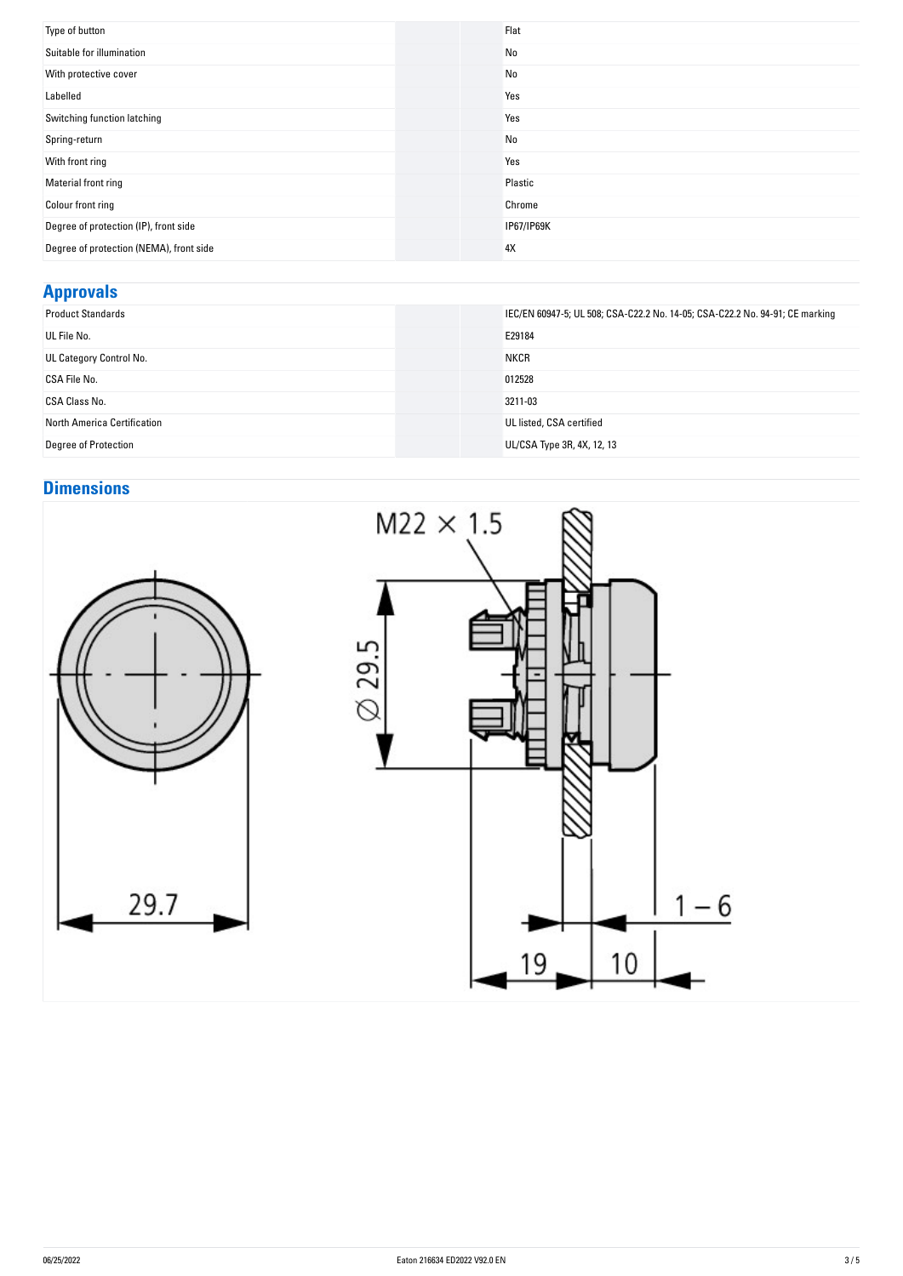| Type of button                          | Flat       |
|-----------------------------------------|------------|
| Suitable for illumination               | No         |
| With protective cover                   | No         |
| Labelled                                | Yes        |
| Switching function latching             | Yes        |
| Spring-return                           | No         |
| With front ring                         | Yes        |
| Material front ring                     | Plastic    |
| Colour front ring                       | Chrome     |
| Degree of protection (IP), front side   | IP67/IP69K |
| Degree of protection (NEMA), front side | 4X         |

# **Approvals**

| .                           |                                                                              |
|-----------------------------|------------------------------------------------------------------------------|
| <b>Product Standards</b>    | IEC/EN 60947-5; UL 508; CSA-C22.2 No. 14-05; CSA-C22.2 No. 94-91; CE marking |
| UL File No.                 | E29184                                                                       |
| UL Category Control No.     | <b>NKCR</b>                                                                  |
| CSA File No.                | 012528                                                                       |
| CSA Class No.               | 3211-03                                                                      |
| North America Certification | UL listed, CSA certified                                                     |
| Degree of Protection        | UL/CSA Type 3R, 4X, 12, 13                                                   |

# **Dimensions**



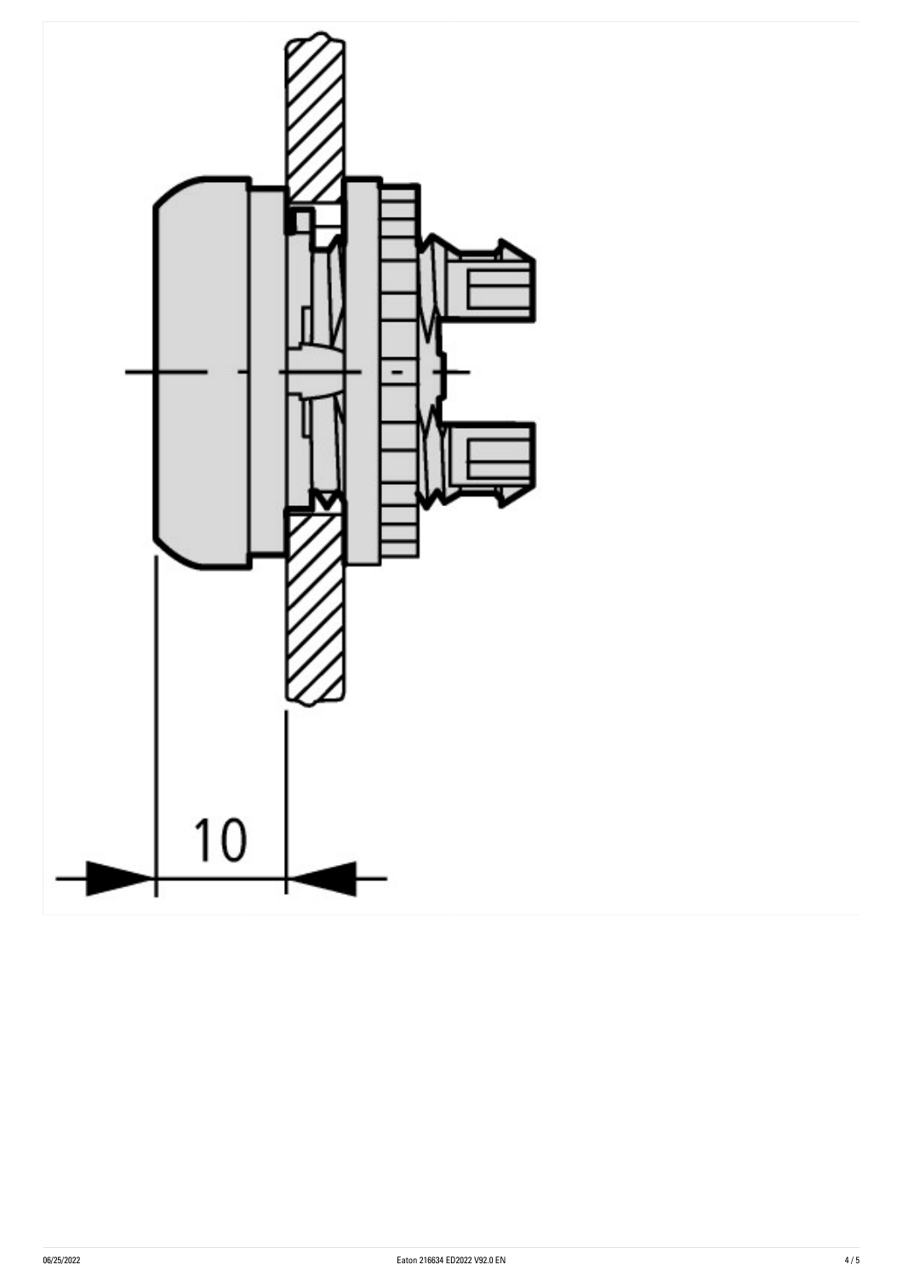